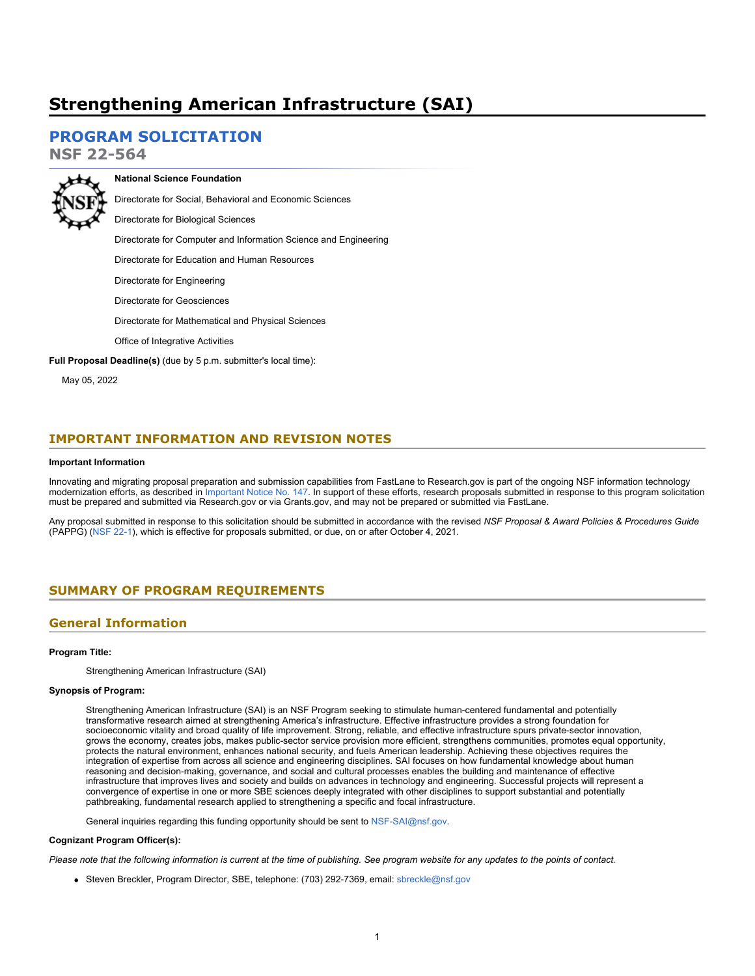# **Strengthening American Infrastructure (SAI)**

**[PROGRAM SOLICITATION](#page-2-0)**

**NSF 22-564**



**National Science Foundation**

Directorate for Social, Behavioral and Economic Sciences

Directorate for Biological Sciences

Directorate for Computer and Information Science and Engineering

Directorate for Education and Human Resources

Directorate for Engineering

Directorate for Geosciences

Directorate for Mathematical and Physical Sciences

Office of Integrative Activities

**Full Proposal Deadline(s)** (due by 5 p.m. submitter's local time):

May 05, 2022

# **IMPORTANT INFORMATION AND REVISION NOTES**

### **Important Information**

Innovating and migrating proposal preparation and submission capabilities from FastLane to Research.gov is part of the ongoing NSF information technology modernization efforts, as described in [Important Notice No. 147](https://www.nsf.gov/publications/pub_summ.jsp?ods_key=in147). In support of these efforts, research proposals submitted in response to this program solicitation must be prepared and submitted via Research.gov or via Grants.gov, and may not be prepared or submitted via FastLane.

Any proposal submitted in response to this solicitation should be submitted in accordance with the revised *NSF Proposal & Award Policies & Procedures Guide* (PAPPG) [\(NSF 22-1](https://www.nsf.gov/publications/pub_summ.jsp?ods_key=nsf22001&org=NSF)), which is effective for proposals submitted, or due, on or after October 4, 2021.

# <span id="page-0-0"></span>**SUMMARY OF PROGRAM REQUIREMENTS**

# **General Information**

#### **Program Title:**

Strengthening American Infrastructure (SAI)

### **Synopsis of Program:**

Strengthening American Infrastructure (SAI) is an NSF Program seeking to stimulate human-centered fundamental and potentially transformative research aimed at strengthening America's infrastructure. Effective infrastructure provides a strong foundation for socioeconomic vitality and broad quality of life improvement. Strong, reliable, and effective infrastructure spurs private-sector innovation, grows the economy, creates jobs, makes public-sector service provision more efficient, strengthens communities, promotes equal opportunity, protects the natural environment, enhances national security, and fuels American leadership. Achieving these objectives requires the integration of expertise from across all science and engineering disciplines. SAI focuses on how fundamental knowledge about human reasoning and decision-making, governance, and social and cultural processes enables the building and maintenance of effective infrastructure that improves lives and society and builds on advances in technology and engineering. Successful projects will represent a convergence of expertise in one or more SBE sciences deeply integrated with other disciplines to support substantial and potentially pathbreaking, fundamental research applied to strengthening a specific and focal infrastructure.

General inquiries regarding this funding opportunity should be sent to [NSF-SAI@nsf.gov](mailto:NSF-SAI@nsf.gov).

### **Cognizant Program Officer(s):**

*Please note that the following information is current at the time of publishing. See program website for any updates to the points of contact.*

Steven Breckler, Program Director, SBE, telephone: (703) 292-7369, email: [sbreckle@nsf.gov](mailto:sbreckle@nsf.gov)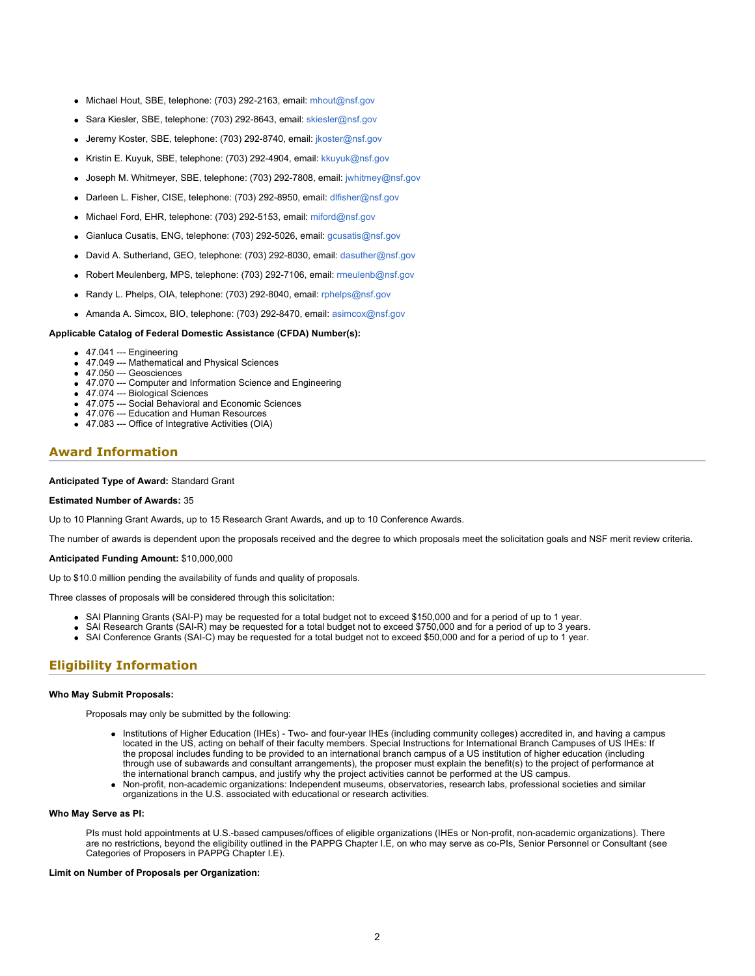- Michael Hout, SBE, telephone: (703) 292-2163, email: [mhout@nsf.gov](mailto:mhout@nsf.gov)
- Sara Kiesler, SBE, telephone: (703) 292-8643, email: [skiesler@nsf.gov](mailto:skiesler@nsf.gov)
- Jeremy Koster, SBE, telephone: (703) 292-8740, email: [jkoster@nsf.gov](mailto:jkoster@nsf.gov)
- Kristin E. Kuyuk, SBE, telephone: (703) 292-4904, email: [kkuyuk@nsf.gov](mailto:kkuyuk@nsf.gov)
- Joseph M. Whitmeyer, SBE, telephone: (703) 292-7808, email: [jwhitmey@nsf.gov](mailto:jwhitmey@nsf.gov)
- Darleen L. Fisher, CISE, telephone: (703) 292-8950, email: [dlfisher@nsf.gov](mailto:dlfisher@nsf.gov)
- Michael Ford, EHR, telephone: (703) 292-5153, email: [miford@nsf.gov](mailto:miford@nsf.gov)
- Gianluca Cusatis, ENG, telephone: (703) 292-5026, email: [gcusatis@nsf.gov](mailto:gcusatis@nsf.gov)
- David A. Sutherland, GEO, telephone: (703) 292-8030, email: [dasuther@nsf.gov](mailto:dasuther@nsf.gov)
- Robert Meulenberg, MPS, telephone: (703) 292-7106, email: [rmeulenb@nsf.gov](mailto:rmeulenb@nsf.gov)
- Randy L. Phelps, OIA, telephone: (703) 292-8040, email: [rphelps@nsf.gov](mailto:rphelps@nsf.gov)
- Amanda A. Simcox, BIO, telephone: (703) 292-8470, email: [asimcox@nsf.gov](mailto:asimcox@nsf.gov)

### **Applicable Catalog of Federal Domestic Assistance (CFDA) Number(s):**

- 47.041 --- Engineering
- 47.049 --- Mathematical and Physical Sciences
- 47.050 --- Geosciences 47.070 --- Computer and Information Science and Engineering
- 47.074 --- Biological Sciences
- 47.075 --- Social Behavioral and Economic Sciences
- 47.076 --- Education and Human Resources
- 47.083 --- Office of Integrative Activities (OIA)

### **Award Information**

### **Anticipated Type of Award:** Standard Grant

#### **Estimated Number of Awards:** 35

Up to 10 Planning Grant Awards, up to 15 Research Grant Awards, and up to 10 Conference Awards.

The number of awards is dependent upon the proposals received and the degree to which proposals meet the solicitation goals and NSF merit review criteria.

#### **Anticipated Funding Amount:** \$10,000,000

Up to \$10.0 million pending the availability of funds and quality of proposals.

Three classes of proposals will be considered through this solicitation:

- SAI Planning Grants (SAI-P) may be requested for a total budget not to exceed \$150,000 and for a period of up to 1 year.
- SAI Research Grants (SAI-R) may be requested for a total budget not to exceed \$750,000 and for a period of up to 3 years.
- SAI Conference Grants (SAI-C) may be requested for a total budget not to exceed \$50,000 and for a period of up to 1 year.

### **Eligibility Information**

#### **Who May Submit Proposals:**

Proposals may only be submitted by the following:

- Institutions of Higher Education (IHEs) Two- and four-year IHEs (including community colleges) accredited in, and having a campus located in the US, acting on behalf of their faculty members. Special Instructions for International Branch Campuses of US IHEs: If the proposal includes funding to be provided to an international branch campus of a US institution of higher education (including through use of subawards and consultant arrangements), the proposer must explain the benefit(s) to the project of performance at the international branch campus, and justify why the project activities cannot be performed at the US campus.
- Non-profit, non-academic organizations: Independent museums, observatories, research labs, professional societies and similar organizations in the U.S. associated with educational or research activities.

### **Who May Serve as PI:**

PIs must hold appointments at U.S.-based campuses/offices of eligible organizations (IHEs or Non-profit, non-academic organizations). There are no restrictions, beyond the eligibility outlined in the PAPPG Chapter I.E, on who may serve as co-PIs, Senior Personnel or Consultant (see Categories of Proposers in PAPPG Chapter I.E).

### **Limit on Number of Proposals per Organization:**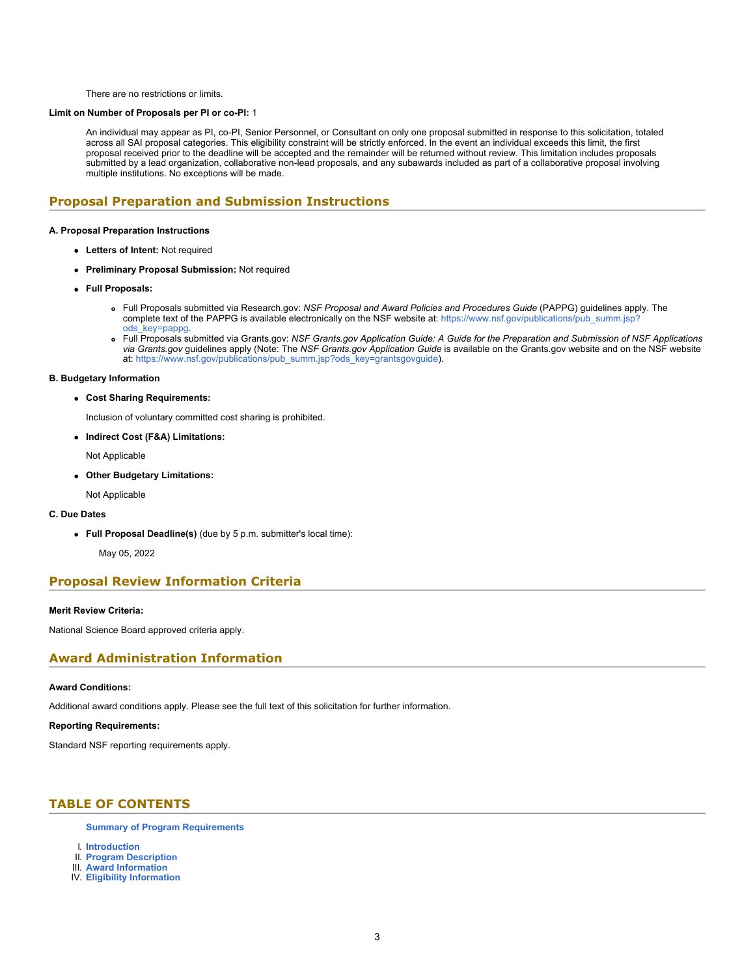There are no restrictions or limits.

### **Limit on Number of Proposals per PI or co-PI:** 1

An individual may appear as PI, co-PI, Senior Personnel, or Consultant on only one proposal submitted in response to this solicitation, totaled across all SAI proposal categories. This eligibility constraint will be strictly enforced. In the event an individual exceeds this limit, the first proposal received prior to the deadline will be accepted and the remainder will be returned without review. This limitation includes proposals submitted by a lead organization, collaborative non-lead proposals, and any subawards included as part of a collaborative proposal involving multiple institutions. No exceptions will be made.

### **Proposal Preparation and Submission Instructions**

### **A. Proposal Preparation Instructions**

- **Letters of Intent:** Not required
- **Preliminary Proposal Submission:** Not required
- **Full Proposals:**
	- Full Proposals submitted via Research.gov: *NSF Proposal and Award Policies and Procedures Guide* (PAPPG) guidelines apply. The complete text of the PAPPG is available electronically on the NSF website at: [https://www.nsf.gov/publications/pub\\_summ.jsp?](https://www.nsf.gov/publications/pub_summ.jsp?ods_key=pappg) [ods\\_key=pappg.](https://www.nsf.gov/publications/pub_summ.jsp?ods_key=pappg)
	- Full Proposals submitted via Grants.gov: *NSF Grants.gov Application Guide: A Guide for the Preparation and Submission of NSF Applications via Grants.gov* guidelines apply (Note: The *NSF Grants.gov Application Guide* is available on the Grants.gov website and on the NSF website at: [https://www.nsf.gov/publications/pub\\_summ.jsp?ods\\_key=grantsgovguide](https://www.nsf.gov/publications/pub_summ.jsp?ods_key=grantsgovguide)).

### **B. Budgetary Information**

**Cost Sharing Requirements:**

Inclusion of voluntary committed cost sharing is prohibited.

**Indirect Cost (F&A) Limitations:**

Not Applicable

**Other Budgetary Limitations:**

Not Applicable

### **C. Due Dates**

**Full Proposal Deadline(s)** (due by 5 p.m. submitter's local time):

May 05, 2022

### **Proposal Review Information Criteria**

### **Merit Review Criteria:**

National Science Board approved criteria apply.

### **Award Administration Information**

### **Award Conditions:**

Additional award conditions apply. Please see the full text of this solicitation for further information.

### **Reporting Requirements:**

Standard NSF reporting requirements apply.

### <span id="page-2-0"></span>**TABLE OF CONTENTS**

**[Summary of Program Requirements](#page-0-0)**

- I. **[Introduction](#page-3-0)**
- II. **[Program Description](#page-3-1)**
- III. **[Award Information](#page-5-0)**

IV. **[Eligibility Information](#page-6-0)**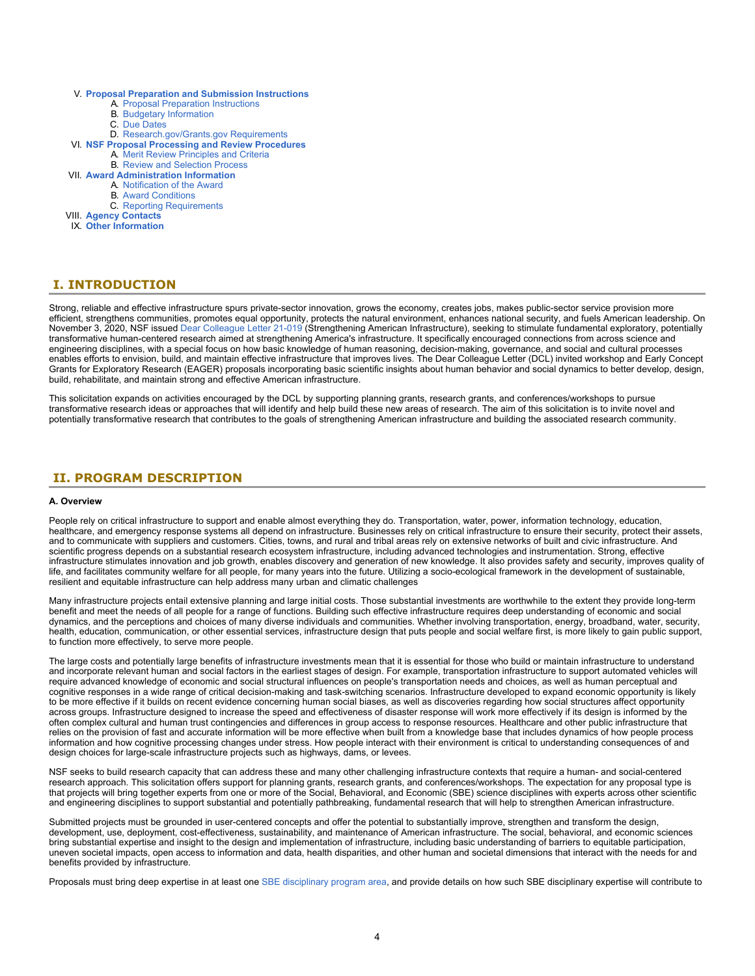- V. **[Proposal Preparation and Submission Instructions](#page-6-1)**
	- A. [Proposal Preparation Instructions](#page-6-1)
	- B. [Budgetary Information](#page-8-0)
	- C. [Due Dates](#page-8-1)
- D. [Research.gov/Grants.gov Requirements](#page-8-2)
- VI. **[NSF Proposal Processing and Review Procedures](#page-8-3)**
	- A. [Merit Review Principles and Criteria](#page-9-0)
		- B. [Review and Selection Process](#page-9-1)
- VII. **[Award Administration Information](#page-10-0)**
	- A. [Notification of the Award](#page-10-1) B. [Award Conditions](#page-10-2)
	- C. [Reporting Requirements](#page-10-3)
	-
- VIII. **[Agency Contacts](#page-11-0)**
- IX. **[Other Information](#page-11-1)**

# <span id="page-3-0"></span>**I. INTRODUCTION**

Strong, reliable and effective infrastructure spurs private-sector innovation, grows the economy, creates jobs, makes public-sector service provision more efficient, strengthens communities, promotes equal opportunity, protects the natural environment, enhances national security, and fuels American leadership. On November 3, 2020, NSF issued [Dear Colleague Letter 21-019](https://www.nsf.gov/publications/pub_summ.jsp?ods_key=nsf21019) (Strengthening American Infrastructure), seeking to stimulate fundamental exploratory, potentially transformative human-centered research aimed at strengthening America's infrastructure. It specifically encouraged connections from across science and engineering disciplines, with a special focus on how basic knowledge of human reasoning, decision-making, governance, and social and cultural processes enables efforts to envision, build, and maintain effective infrastructure that improves lives. The Dear Colleague Letter (DCL) invited workshop and Early Concept Grants for Exploratory Research (EAGER) proposals incorporating basic scientific insights about human behavior and social dynamics to better develop, design, build, rehabilitate, and maintain strong and effective American infrastructure.

This solicitation expands on activities encouraged by the DCL by supporting planning grants, research grants, and conferences/workshops to pursue transformative research ideas or approaches that will identify and help build these new areas of research. The aim of this solicitation is to invite novel and potentially transformative research that contributes to the goals of strengthening American infrastructure and building the associated research community.

### <span id="page-3-1"></span>**II. PROGRAM DESCRIPTION**

### **A. Overview**

People rely on critical infrastructure to support and enable almost everything they do. Transportation, water, power, information technology, education, healthcare, and emergency response systems all depend on infrastructure. Businesses rely on critical infrastructure to ensure their security, protect their assets, and to communicate with suppliers and customers. Cities, towns, and rural and tribal areas rely on extensive networks of built and civic infrastructure. And scientific progress depends on a substantial research ecosystem infrastructure, including advanced technologies and instrumentation. Strong, effective infrastructure stimulates innovation and job growth, enables discovery and generation of new knowledge. It also provides safety and security, improves quality of life, and facilitates community welfare for all people, for many years into the future. Utilizing a socio-ecological framework in the development of sustainable, resilient and equitable infrastructure can help address many urban and climatic challenges

Many infrastructure projects entail extensive planning and large initial costs. Those substantial investments are worthwhile to the extent they provide long-term benefit and meet the needs of all people for a range of functions. Building such effective infrastructure requires deep understanding of economic and social dynamics, and the perceptions and choices of many diverse individuals and communities. Whether involving transportation, energy, broadband, water, security, health, education, communication, or other essential services, infrastructure design that puts people and social welfare first, is more likely to gain public support, to function more effectively, to serve more people.

The large costs and potentially large benefits of infrastructure investments mean that it is essential for those who build or maintain infrastructure to understand and incorporate relevant human and social factors in the earliest stages of design. For example, transportation infrastructure to support automated vehicles will require advanced knowledge of economic and social structural influences on people's transportation needs and choices, as well as human perceptual and cognitive responses in a wide range of critical decision-making and task-switching scenarios. Infrastructure developed to expand economic opportunity is likely to be more effective if it builds on recent evidence concerning human social biases, as well as discoveries regarding how social structures affect opportunity across groups. Infrastructure designed to increase the speed and effectiveness of disaster response will work more effectively if its design is informed by the often complex cultural and human trust contingencies and differences in group access to response resources. Healthcare and other public infrastructure that relies on the provision of fast and accurate information will be more effective when built from a knowledge base that includes dynamics of how people process information and how cognitive processing changes under stress. How people interact with their environment is critical to understanding consequences of and design choices for large-scale infrastructure projects such as highways, dams, or levees.

NSF seeks to build research capacity that can address these and many other challenging infrastructure contexts that require a human- and social-centered research approach. This solicitation offers support for planning grants, research grants, and conferences/workshops. The expectation for any proposal type is that projects will bring together experts from one or more of the Social, Behavioral, and Economic (SBE) science disciplines with experts across other scientific and engineering disciplines to support substantial and potentially pathbreaking, fundamental research that will help to strengthen American infrastructure.

Submitted projects must be grounded in user-centered concepts and offer the potential to substantially improve, strengthen and transform the design, development, use, deployment, cost-effectiveness, sustainability, and maintenance of American infrastructure. The social, behavioral, and economic sciences bring substantial expertise and insight to the design and implementation of infrastructure, including basic understanding of barriers to equitable participation, uneven societal impacts, open access to information and data, health disparities, and other human and societal dimensions that interact with the needs for and benefits provided by infrastructure.

Proposals must bring deep expertise in at least one [SBE disciplinary program area](https://www.nsf.gov/funding/programs.jsp?org=SBE), and provide details on how such SBE disciplinary expertise will contribute to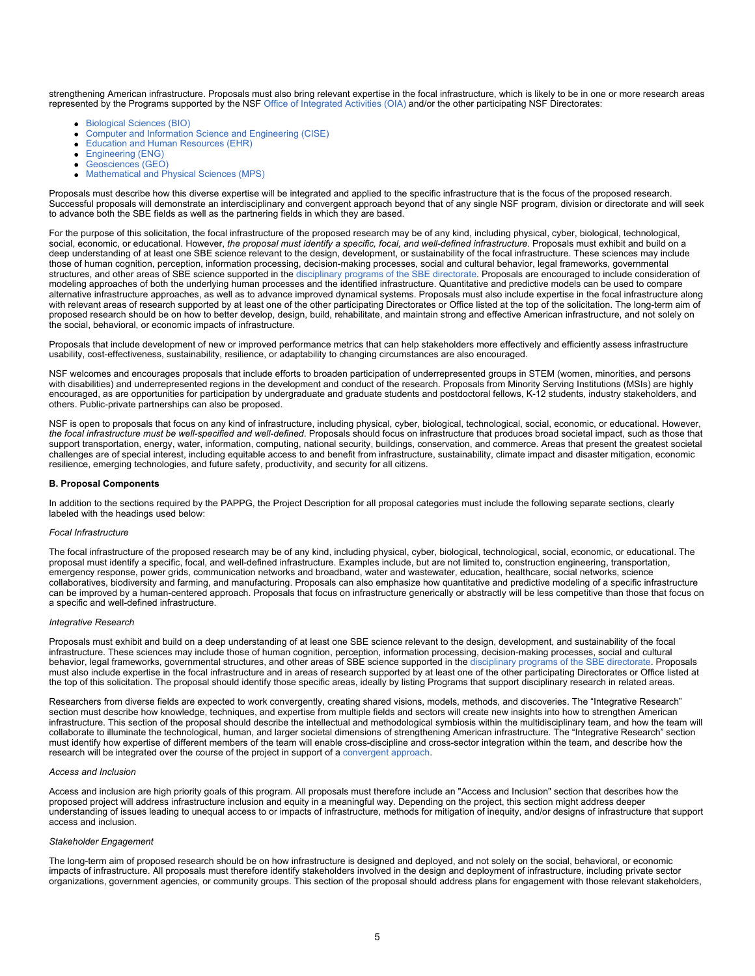strengthening American infrastructure. Proposals must also bring relevant expertise in the focal infrastructure, which is likely to be in one or more research areas represented by the Programs supported by the NSF [Office of Integrated Activities \(OIA\)](https://www.nsf.gov/dir/index.jsp?org=OIA) and/or the other participating NSF Directorates:

- [Biological Sciences \(BIO\)](https://www.nsf.gov/dir/index.jsp?org=BIO)
- [Computer and Information Science and Engineering \(CISE\)](https://www.nsf.gov/dir/index.jsp?org=CISE)
- [Education and Human Resources \(EHR\)](https://www.nsf.gov/dir/index.jsp?org=EHR)  $\bullet$
- [Engineering \(ENG\)](https://www.nsf.gov/dir/index.jsp?org=ENG)
- [Geosciences \(GEO\)](https://www.nsf.gov/dir/index.jsp?org=GEO)
- [Mathematical and Physical Sciences \(MPS\)](https://www.nsf.gov/dir/index.jsp?org=MPS)

Proposals must describe how this diverse expertise will be integrated and applied to the specific infrastructure that is the focus of the proposed research. Successful proposals will demonstrate an interdisciplinary and convergent approach beyond that of any single NSF program, division or directorate and will seek to advance both the SBE fields as well as the partnering fields in which they are based.

For the purpose of this solicitation, the focal infrastructure of the proposed research may be of any kind, including physical, cyber, biological, technological, social, economic, or educational. However, the proposal must identify a specific, focal, and well-defined infrastructure. Proposals must exhibit and build on a deep understanding of at least one SBE science relevant to the design, development, or sustainability of the focal infrastructure. These sciences may include those of human cognition, perception, information processing, decision-making processes, social and cultural behavior, legal frameworks, governmental structures, and other areas of SBE science supported in the [disciplinary programs of the SBE directorate](https://www.nsf.gov/funding/programs.jsp?org=SBE). Proposals are encouraged to include consideration of modeling approaches of both the underlying human processes and the identified infrastructure. Quantitative and predictive models can be used to compare alternative infrastructure approaches, as well as to advance improved dynamical systems. Proposals must also include expertise in the focal infrastructure along with relevant areas of research supported by at least one of the other participating Directorates or Office listed at the top of the solicitation. The long-term aim of proposed research should be on how to better develop, design, build, rehabilitate, and maintain strong and effective American infrastructure, and not solely on the social, behavioral, or economic impacts of infrastructure.

Proposals that include development of new or improved performance metrics that can help stakeholders more effectively and efficiently assess infrastructure usability, cost-effectiveness, sustainability, resilience, or adaptability to changing circumstances are also encouraged.

NSF welcomes and encourages proposals that include efforts to broaden participation of underrepresented groups in STEM (women, minorities, and persons with disabilities) and underrepresented regions in the development and conduct of the research. Proposals from Minority Serving Institutions (MSIs) are highly encouraged, as are opportunities for participation by undergraduate and graduate students and postdoctoral fellows, K-12 students, industry stakeholders, and others. Public-private partnerships can also be proposed.

NSF is open to proposals that focus on any kind of infrastructure, including physical, cyber, biological, technological, social, economic, or educational. However, *the focal infrastructure must be well-specified and well-defined*. Proposals should focus on infrastructure that produces broad societal impact, such as those that support transportation, energy, water, information, computing, national security, buildings, conservation, and commerce. Areas that present the greatest societal challenges are of special interest, including equitable access to and benefit from infrastructure, sustainability, climate impact and disaster mitigation, economic resilience, emerging technologies, and future safety, productivity, and security for all citizens.

#### **B. Proposal Components**

In addition to the sections required by the PAPPG, the Project Description for all proposal categories must include the following separate sections, clearly labeled with the headings used below:

#### *Focal Infrastructure*

The focal infrastructure of the proposed research may be of any kind, including physical, cyber, biological, technological, social, economic, or educational. The proposal must identify a specific, focal, and well-defined infrastructure. Examples include, but are not limited to, construction engineering, transportation, emergency response, power grids, communication networks and broadband, water and wastewater, education, healthcare, social networks, science collaboratives, biodiversity and farming, and manufacturing. Proposals can also emphasize how quantitative and predictive modeling of a specific infrastructure can be improved by a human-centered approach. Proposals that focus on infrastructure generically or abstractly will be less competitive than those that focus on a specific and well-defined infrastructure.

#### *Integrative Research*

Proposals must exhibit and build on a deep understanding of at least one SBE science relevant to the design, development, and sustainability of the focal infrastructure. These sciences may include those of human cognition, perception, information processing, decision-making processes, social and cultural behavior, legal frameworks, governmental structures, and other areas of SBE science supported in the [disciplinary programs of the SBE directorate](https://www.nsf.gov/funding/programs.jsp?org=SBE). Proposals must also include expertise in the focal infrastructure and in areas of research supported by at least one of the other participating Directorates or Office listed at the top of this solicitation. The proposal should identify those specific areas, ideally by listing Programs that support disciplinary research in related areas.

Researchers from diverse fields are expected to work convergently, creating shared visions, models, methods, and discoveries. The "Integrative Research" section must describe how knowledge, techniques, and expertise from multiple fields and sectors will create new insights into how to strengthen American infrastructure. This section of the proposal should describe the intellectual and methodological symbiosis within the multidisciplinary team, and how the team will collaborate to illuminate the technological, human, and larger societal dimensions of strengthening American infrastructure. The "Integrative Research" section must identify how expertise of different members of the team will enable cross-discipline and cross-sector integration within the team, and describe how the research will be integrated over the course of the project in support of a [convergent approach](https://www.nsf.gov/od/oia/convergence/index.jsp).

#### *Access and Inclusion*

Access and inclusion are high priority goals of this program. All proposals must therefore include an "Access and Inclusion" section that describes how the proposed project will address infrastructure inclusion and equity in a meaningful way. Depending on the project, this section might address deeper understanding of issues leading to unequal access to or impacts of infrastructure, methods for mitigation of inequity, and/or designs of infrastructure that support access and inclusion.

#### *Stakeholder Engagement*

The long-term aim of proposed research should be on how infrastructure is designed and deployed, and not solely on the social, behavioral, or economic impacts of infrastructure. All proposals must therefore identify stakeholders involved in the design and deployment of infrastructure, including private sector organizations, government agencies, or community groups. This section of the proposal should address plans for engagement with those relevant stakeholders,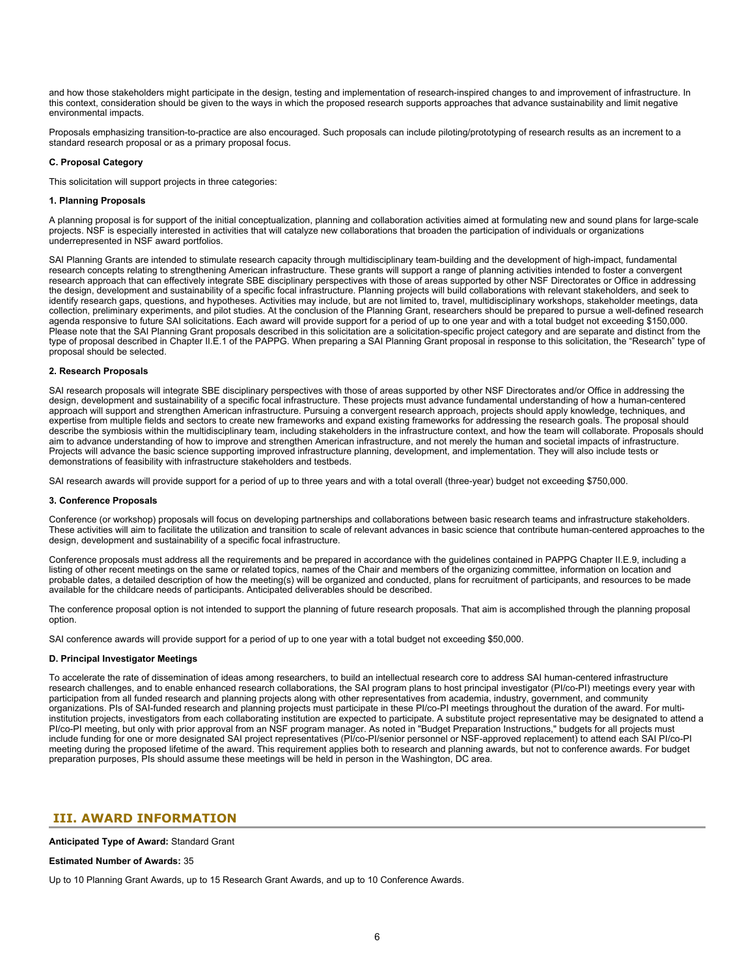and how those stakeholders might participate in the design, testing and implementation of research-inspired changes to and improvement of infrastructure. In this context, consideration should be given to the ways in which the proposed research supports approaches that advance sustainability and limit negative environmental impacts.

Proposals emphasizing transition-to-practice are also encouraged. Such proposals can include piloting/prototyping of research results as an increment to a standard research proposal or as a primary proposal focus.

### **C. Proposal Category**

This solicitation will support projects in three categories:

### **1. Planning Proposals**

A planning proposal is for support of the initial conceptualization, planning and collaboration activities aimed at formulating new and sound plans for large-scale projects. NSF is especially interested in activities that will catalyze new collaborations that broaden the participation of individuals or organizations underrepresented in NSF award portfolios.

SAI Planning Grants are intended to stimulate research capacity through multidisciplinary team-building and the development of high-impact, fundamental research concepts relating to strengthening American infrastructure. These grants will support a range of planning activities intended to foster a convergent research approach that can effectively integrate SBE disciplinary perspectives with those of areas supported by other NSF Directorates or Office in addressing the design, development and sustainability of a specific focal infrastructure. Planning projects will build collaborations with relevant stakeholders, and seek to identify research gaps, questions, and hypotheses. Activities may include, but are not limited to, travel, multidisciplinary workshops, stakeholder meetings, data collection, preliminary experiments, and pilot studies. At the conclusion of the Planning Grant, researchers should be prepared to pursue a well-defined research agenda responsive to future SAI solicitations. Each award will provide support for a period of up to one year and with a total budget not exceeding \$150,000. Please note that the SAI Planning Grant proposals described in this solicitation are a solicitation-specific project category and are separate and distinct from the type of proposal described in Chapter II.E.1 of the PAPPG. When preparing a SAI Planning Grant proposal in response to this solicitation, the "Research" type of proposal should be selected.

### **2. Research Proposals**

SAI research proposals will integrate SBE disciplinary perspectives with those of areas supported by other NSF Directorates and/or Office in addressing the design, development and sustainability of a specific focal infrastructure. These projects must advance fundamental understanding of how a human-centered approach will support and strengthen American infrastructure. Pursuing a convergent research approach, projects should apply knowledge, techniques, and expertise from multiple fields and sectors to create new frameworks and expand existing frameworks for addressing the research goals. The proposal should describe the symbiosis within the multidisciplinary team, including stakeholders in the infrastructure context, and how the team will collaborate. Proposals should aim to advance understanding of how to improve and strengthen American infrastructure, and not merely the human and societal impacts of infrastructure. Projects will advance the basic science supporting improved infrastructure planning, development, and implementation. They will also include tests or demonstrations of feasibility with infrastructure stakeholders and testbeds.

SAI research awards will provide support for a period of up to three years and with a total overall (three-year) budget not exceeding \$750,000.

#### **3. Conference Proposals**

Conference (or workshop) proposals will focus on developing partnerships and collaborations between basic research teams and infrastructure stakeholders. These activities will aim to facilitate the utilization and transition to scale of relevant advances in basic science that contribute human-centered approaches to the design, development and sustainability of a specific focal infrastructure.

Conference proposals must address all the requirements and be prepared in accordance with the guidelines contained in PAPPG Chapter II.E.9, including a listing of other recent meetings on the same or related topics, names of the Chair and members of the organizing committee, information on location and probable dates, a detailed description of how the meeting(s) will be organized and conducted, plans for recruitment of participants, and resources to be made available for the childcare needs of participants. Anticipated deliverables should be described.

The conference proposal option is not intended to support the planning of future research proposals. That aim is accomplished through the planning proposal option.

SAI conference awards will provide support for a period of up to one year with a total budget not exceeding \$50,000.

#### **D. Principal Investigator Meetings**

To accelerate the rate of dissemination of ideas among researchers, to build an intellectual research core to address SAI human-centered infrastructure research challenges, and to enable enhanced research collaborations, the SAI program plans to host principal investigator (PI/co-PI) meetings every year with participation from all funded research and planning projects along with other representatives from academia, industry, government, and community organizations. PIs of SAI-funded research and planning projects must participate in these PI/co-PI meetings throughout the duration of the award. For multiinstitution projects, investigators from each collaborating institution are expected to participate. A substitute project representative may be designated to attend a PI/co-PI meeting, but only with prior approval from an NSF program manager. As noted in "Budget Preparation Instructions," budgets for all projects must include funding for one or more designated SAI project representatives (PI/co-PI/senior personnel or NSF-approved replacement) to attend each SAI PI/co-PI meeting during the proposed lifetime of the award. This requirement applies both to research and planning awards, but not to conference awards. For budget preparation purposes, PIs should assume these meetings will be held in person in the Washington, DC area.

### <span id="page-5-0"></span>**III. AWARD INFORMATION**

#### **Anticipated Type of Award:** Standard Grant

#### **Estimated Number of Awards:** 35

Up to 10 Planning Grant Awards, up to 15 Research Grant Awards, and up to 10 Conference Awards.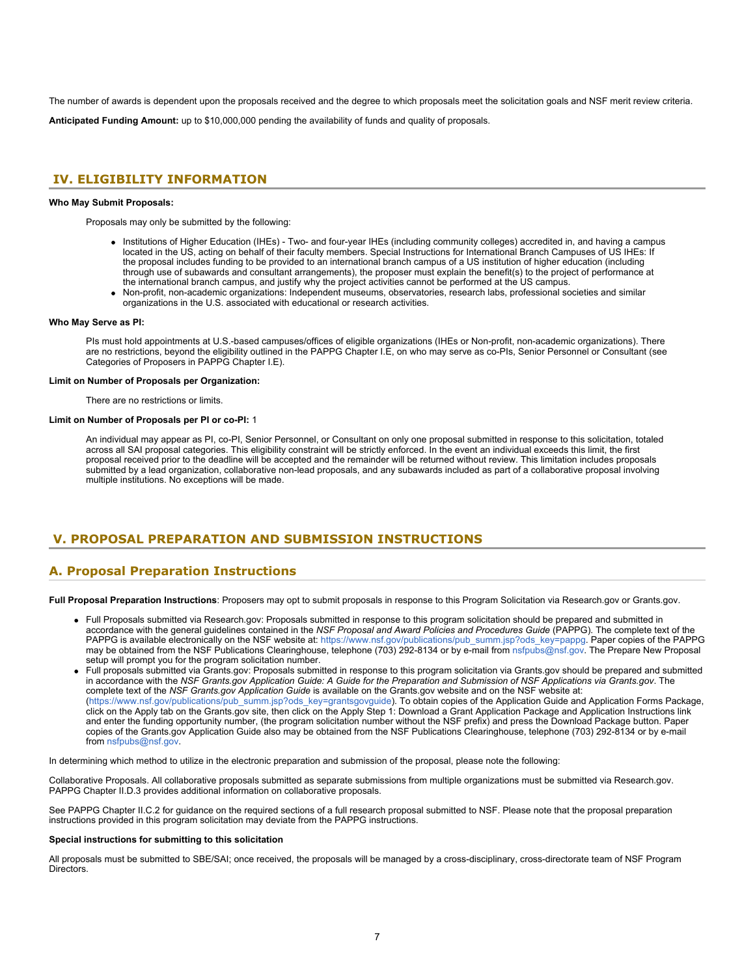The number of awards is dependent upon the proposals received and the degree to which proposals meet the solicitation goals and NSF merit review criteria.

**Anticipated Funding Amount:** up to \$10,000,000 pending the availability of funds and quality of proposals.

# <span id="page-6-0"></span>**IV. ELIGIBILITY INFORMATION**

### **Who May Submit Proposals:**

Proposals may only be submitted by the following:

- Institutions of Higher Education (IHEs) Two- and four-year IHEs (including community colleges) accredited in, and having a campus located in the US, acting on behalf of their faculty members. Special Instructions for International Branch Campuses of US IHEs: If the proposal includes funding to be provided to an international branch campus of a US institution of higher education (including through use of subawards and consultant arrangements), the proposer must explain the benefit(s) to the project of performance at the international branch campus, and justify why the project activities cannot be performed at the US campus.
- Non-profit, non-academic organizations: Independent museums, observatories, research labs, professional societies and similar organizations in the U.S. associated with educational or research activities.

### **Who May Serve as PI:**

PIs must hold appointments at U.S.-based campuses/offices of eligible organizations (IHEs or Non-profit, non-academic organizations). There are no restrictions, beyond the eligibility outlined in the PAPPG Chapter I.E, on who may serve as co-PIs, Senior Personnel or Consultant (see Categories of Proposers in PAPPG Chapter I.E).

### **Limit on Number of Proposals per Organization:**

There are no restrictions or limits.

### **Limit on Number of Proposals per PI or co-PI:** 1

An individual may appear as PI, co-PI, Senior Personnel, or Consultant on only one proposal submitted in response to this solicitation, totaled across all SAI proposal categories. This eligibility constraint will be strictly enforced. In the event an individual exceeds this limit, the first proposal received prior to the deadline will be accepted and the remainder will be returned without review. This limitation includes proposals submitted by a lead organization, collaborative non-lead proposals, and any subawards included as part of a collaborative proposal involving multiple institutions. No exceptions will be made.

### <span id="page-6-1"></span>**V. PROPOSAL PREPARATION AND SUBMISSION INSTRUCTIONS**

### **A. Proposal Preparation Instructions**

**Full Proposal Preparation Instructions**: Proposers may opt to submit proposals in response to this Program Solicitation via Research.gov or Grants.gov.

- Full Proposals submitted via Research.gov: Proposals submitted in response to this program solicitation should be prepared and submitted in accordance with the general guidelines contained in the *NSF Proposal and Award Policies and Procedures Guide* (PAPPG). The complete text of the PAPPG is available electronically on the NSF website at: [https://www.nsf.gov/publications/pub\\_summ.jsp?ods\\_key=pappg](https://www.nsf.gov/publications/pub_summ.jsp?ods_key=pappg). Paper copies of the PAPPG may be obtained from the NSF Publications Clearinghouse, telephone (703) 292-8134 or by e-mail from [nsfpubs@nsf.gov.](mailto:nsfpubs@nsf.gov) The Prepare New Proposal setup will prompt you for the program solicitation number.
- Full proposals submitted via Grants.gov: Proposals submitted in response to this program solicitation via Grants.gov should be prepared and submitted in accordance with the *NSF Grants.gov Application Guide: A Guide for the Preparation and Submission of NSF Applications via Grants.gov*. The complete text of the *NSF Grants.gov Application Guide* is available on the Grants.gov website and on the NSF website at: [\(https://www.nsf.gov/publications/pub\\_summ.jsp?ods\\_key=grantsgovguide](https://www.nsf.gov/publications/pub_summ.jsp?ods_key=grantsgovguide)). To obtain copies of the Application Guide and Application Forms Package, click on the Apply tab on the Grants.gov site, then click on the Apply Step 1: Download a Grant Application Package and Application Instructions link and enter the funding opportunity number, (the program solicitation number without the NSF prefix) and press the Download Package button. Paper copies of the Grants.gov Application Guide also may be obtained from the NSF Publications Clearinghouse, telephone (703) 292-8134 or by e-mail from [nsfpubs@nsf.gov](mailto:nsfpubs@nsf.gov).

In determining which method to utilize in the electronic preparation and submission of the proposal, please note the following:

Collaborative Proposals. All collaborative proposals submitted as separate submissions from multiple organizations must be submitted via Research.gov. PAPPG Chapter II.D.3 provides additional information on collaborative proposals.

See PAPPG Chapter II.C.2 for guidance on the required sections of a full research proposal submitted to NSF. Please note that the proposal preparation instructions provided in this program solicitation may deviate from the PAPPG instructions.

#### **Special instructions for submitting to this solicitation**

All proposals must be submitted to SBE/SAI; once received, the proposals will be managed by a cross-disciplinary, cross-directorate team of NSF Program Directors.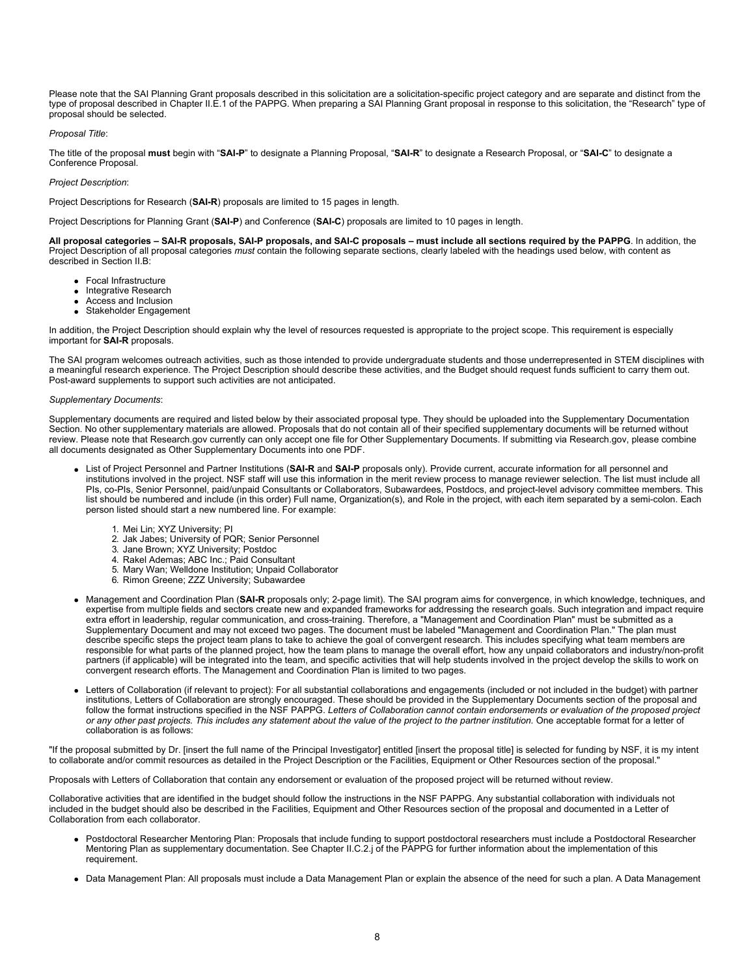Please note that the SAI Planning Grant proposals described in this solicitation are a solicitation-specific project category and are separate and distinct from the type of proposal described in Chapter II.E.1 of the PAPPG. When preparing a SAI Planning Grant proposal in response to this solicitation, the "Research" type of proposal should be selected.

### *Proposal Title*:

The title of the proposal **must** begin with "**SAI-P**" to designate a Planning Proposal, "**SAI-R**" to designate a Research Proposal, or "**SAI-C**" to designate a Conference Proposal.

### *Project Description*:

Project Descriptions for Research (**SAI-R**) proposals are limited to 15 pages in length.

Project Descriptions for Planning Grant (**SAI-P**) and Conference (**SAI-C**) proposals are limited to 10 pages in length.

**All proposal categories – SAI-R proposals, SAI-P proposals, and SAI-C proposals – must include all sections required by the PAPPG**. In addition, the Project Description of all proposal categories *must* contain the following separate sections, clearly labeled with the headings used below, with content as described in Section II.B:

- Focal Infrastructure
- Integrative Research
- Access and Inclusion
- Stakeholder Engagement

In addition, the Project Description should explain why the level of resources requested is appropriate to the project scope. This requirement is especially important for **SAI-R** proposals.

The SAI program welcomes outreach activities, such as those intended to provide undergraduate students and those underrepresented in STEM disciplines with a meaningful research experience. The Project Description should describe these activities, and the Budget should request funds sufficient to carry them out. Post-award supplements to support such activities are not anticipated.

### *Supplementary Documents*:

Supplementary documents are required and listed below by their associated proposal type. They should be uploaded into the Supplementary Documentation Section. No other supplementary materials are allowed. Proposals that do not contain all of their specified supplementary documents will be returned without review. Please note that Research.gov currently can only accept one file for Other Supplementary Documents. If submitting via Research.gov, please combine all documents designated as Other Supplementary Documents into one PDF.

- List of Project Personnel and Partner Institutions (**SAI-R** and **SAI-P** proposals only). Provide current, accurate information for all personnel and institutions involved in the project. NSF staff will use this information in the merit review process to manage reviewer selection. The list must include all PIs, co-PIs, Senior Personnel, paid/unpaid Consultants or Collaborators, Subawardees, Postdocs, and project-level advisory committee members. This list should be numbered and include (in this order) Full name, Organization(s), and Role in the project, with each item separated by a semi-colon. Each person listed should start a new numbered line. For example:
	- 1. Mei Lin; XYZ University; PI
	- 2. Jak Jabes; University of PQR; Senior Personnel
	- 3. Jane Brown; XYZ University; Postdoc
	- 4. Rakel Ademas; ABC Inc.; Paid Consultant
	- 5. Mary Wan; Welldone Institution; Unpaid Collaborator
	- 6. Rimon Greene; ZZZ University; Subawardee
- Management and Coordination Plan (**SAI-R** proposals only; 2-page limit). The SAI program aims for convergence, in which knowledge, techniques, and expertise from multiple fields and sectors create new and expanded frameworks for addressing the research goals. Such integration and impact require extra effort in leadership, regular communication, and cross-training. Therefore, a "Management and Coordination Plan" must be submitted as a Supplementary Document and may not exceed two pages. The document must be labeled "Management and Coordination Plan." The plan must describe specific steps the project team plans to take to achieve the goal of convergent research. This includes specifying what team members are responsible for what parts of the planned project, how the team plans to manage the overall effort, how any unpaid collaborators and industry/non-profit partners (if applicable) will be integrated into the team, and specific activities that will help students involved in the project develop the skills to work on convergent research efforts. The Management and Coordination Plan is limited to two pages.
- Letters of Collaboration (if relevant to project): For all substantial collaborations and engagements (included or not included in the budget) with partner institutions, Letters of Collaboration are strongly encouraged. These should be provided in the Supplementary Documents section of the proposal and follow the format instructions specified in the NSF PAPPG. *Letters of Collaboration cannot contain endorsements or evaluation of the proposed project or any other past projects. This includes any statement about the value of the project to the partner institution.* One acceptable format for a letter of collaboration is as follows:

"If the proposal submitted by Dr. [insert the full name of the Principal Investigator] entitled [insert the proposal title] is selected for funding by NSF, it is my intent to collaborate and/or commit resources as detailed in the Project Description or the Facilities, Equipment or Other Resources section of the proposal."

Proposals with Letters of Collaboration that contain any endorsement or evaluation of the proposed project will be returned without review.

Collaborative activities that are identified in the budget should follow the instructions in the NSF PAPPG. Any substantial collaboration with individuals not included in the budget should also be described in the Facilities, Equipment and Other Resources section of the proposal and documented in a Letter of Collaboration from each collaborator.

- Postdoctoral Researcher Mentoring Plan: Proposals that include funding to support postdoctoral researchers must include a Postdoctoral Researcher Mentoring Plan as supplementary documentation. See Chapter II.C.2.j of the PAPPG for further information about the implementation of this requirement.
- Data Management Plan: All proposals must include a Data Management Plan or explain the absence of the need for such a plan. A Data Management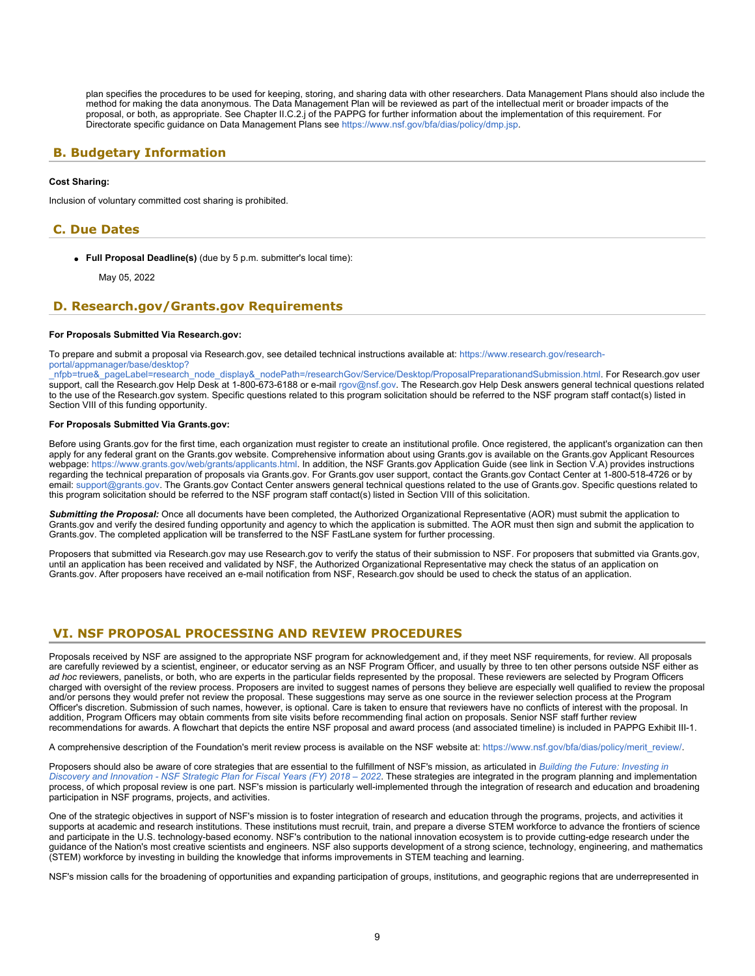plan specifies the procedures to be used for keeping, storing, and sharing data with other researchers. Data Management Plans should also include the method for making the data anonymous. The Data Management Plan will be reviewed as part of the intellectual merit or broader impacts of the proposal, or both, as appropriate. See Chapter II.C.2.j of the PAPPG for further information about the implementation of this requirement. For Directorate specific guidance on Data Management Plans see<https://www.nsf.gov/bfa/dias/policy/dmp.jsp>.

# <span id="page-8-0"></span>**B. Budgetary Information**

### **Cost Sharing:**

Inclusion of voluntary committed cost sharing is prohibited.

### <span id="page-8-1"></span>**C. Due Dates**

**Full Proposal Deadline(s)** (due by 5 p.m. submitter's local time):

May 05, 2022

### <span id="page-8-2"></span>**D. Research.gov/Grants.gov Requirements**

### **For Proposals Submitted Via Research.gov:**

To prepare and submit a proposal via Research.gov, see detailed technical instructions available at: [https://www.research.gov/research](https://www.research.gov/research-portal/appmanager/base/desktop?_nfpb=true&_pageLabel=research_node_display&_nodePath=/researchGov/Service/Desktop/ProposalPreparationandSubmission.html)[portal/appmanager/base/desktop?](https://www.research.gov/research-portal/appmanager/base/desktop?_nfpb=true&_pageLabel=research_node_display&_nodePath=/researchGov/Service/Desktop/ProposalPreparationandSubmission.html)

nfpb=true&\_pageLabel=research\_node\_display&\_nodePath=/researchGov/Service/Desktop/ProposalPreparationandSubmission.html. For Research.gov user support, call the Research.gov Help Desk at 1-800-673-6188 or e-mail [rgov@nsf.gov](mailto:rgov@nsf.gov). The Research.gov Help Desk answers general technical questions related to the use of the Research.gov system. Specific questions related to this program solicitation should be referred to the NSF program staff contact(s) listed in Section VIII of this funding opportunity.

### **For Proposals Submitted Via Grants.gov:**

Before using Grants.gov for the first time, each organization must register to create an institutional profile. Once registered, the applicant's organization can then apply for any federal grant on the Grants.gov website. Comprehensive information about using Grants.gov is available on the Grants.gov Applicant Resources webpage:<https://www.grants.gov/web/grants/applicants.html>. In addition, the NSF Grants.gov Application Guide (see link in Section V.A) provides instructions regarding the technical preparation of proposals via Grants.gov. For Grants.gov user support, contact the Grants.gov Contact Center at 1-800-518-4726 or by email: [support@grants.gov.](mailto:support@grants.gov) The Grants.gov Contact Center answers general technical questions related to the use of Grants.gov. Specific questions related to this program solicitation should be referred to the NSF program staff contact(s) listed in Section VIII of this solicitation.

*Submitting the Proposal:* Once all documents have been completed, the Authorized Organizational Representative (AOR) must submit the application to Grants.gov and verify the desired funding opportunity and agency to which the application is submitted. The AOR must then sign and submit the application to Grants.gov. The completed application will be transferred to the NSF FastLane system for further processing.

Proposers that submitted via Research.gov may use Research.gov to verify the status of their submission to NSF. For proposers that submitted via Grants.gov, until an application has been received and validated by NSF, the Authorized Organizational Representative may check the status of an application on Grants.gov. After proposers have received an e-mail notification from NSF, Research.gov should be used to check the status of an application.

### <span id="page-8-3"></span>**VI. NSF PROPOSAL PROCESSING AND REVIEW PROCEDURES**

Proposals received by NSF are assigned to the appropriate NSF program for acknowledgement and, if they meet NSF requirements, for review. All proposals are carefully reviewed by a scientist, engineer, or educator serving as an NSF Program Officer, and usually by three to ten other persons outside NSF either as *ad hoc* reviewers, panelists, or both, who are experts in the particular fields represented by the proposal. These reviewers are selected by Program Officers charged with oversight of the review process. Proposers are invited to suggest names of persons they believe are especially well qualified to review the proposal and/or persons they would prefer not review the proposal. These suggestions may serve as one source in the reviewer selection process at the Program Officer's discretion. Submission of such names, however, is optional. Care is taken to ensure that reviewers have no conflicts of interest with the proposal. In addition, Program Officers may obtain comments from site visits before recommending final action on proposals. Senior NSF staff further review recommendations for awards. A flowchart that depicts the entire NSF proposal and award process (and associated timeline) is included in PAPPG Exhibit III-1.

A comprehensive description of the Foundation's merit review process is available on the NSF website at: [https://www.nsf.gov/bfa/dias/policy/merit\\_review/](https://www.nsf.gov/bfa/dias/policy/merit_review/).

Proposers should also be aware of core strategies that are essential to the fulfillment of NSF's mission, as articulated in *[Building the Future: Investing in](https://www.nsf.gov/publications/pub_summ.jsp?ods_key=nsf18045) [Discovery and Innovation - NSF Strategic Plan for Fiscal Years \(FY\) 2018 – 2022](https://www.nsf.gov/publications/pub_summ.jsp?ods_key=nsf18045)*. These strategies are integrated in the program planning and implementation process, of which proposal review is one part. NSF's mission is particularly well-implemented through the integration of research and education and broadening participation in NSF programs, projects, and activities.

One of the strategic objectives in support of NSF's mission is to foster integration of research and education through the programs, projects, and activities it supports at academic and research institutions. These institutions must recruit, train, and prepare a diverse STEM workforce to advance the frontiers of science and participate in the U.S. technology-based economy. NSF's contribution to the national innovation ecosystem is to provide cutting-edge research under the guidance of the Nation's most creative scientists and engineers. NSF also supports development of a strong science, technology, engineering, and mathematics (STEM) workforce by investing in building the knowledge that informs improvements in STEM teaching and learning.

NSF's mission calls for the broadening of opportunities and expanding participation of groups, institutions, and geographic regions that are underrepresented in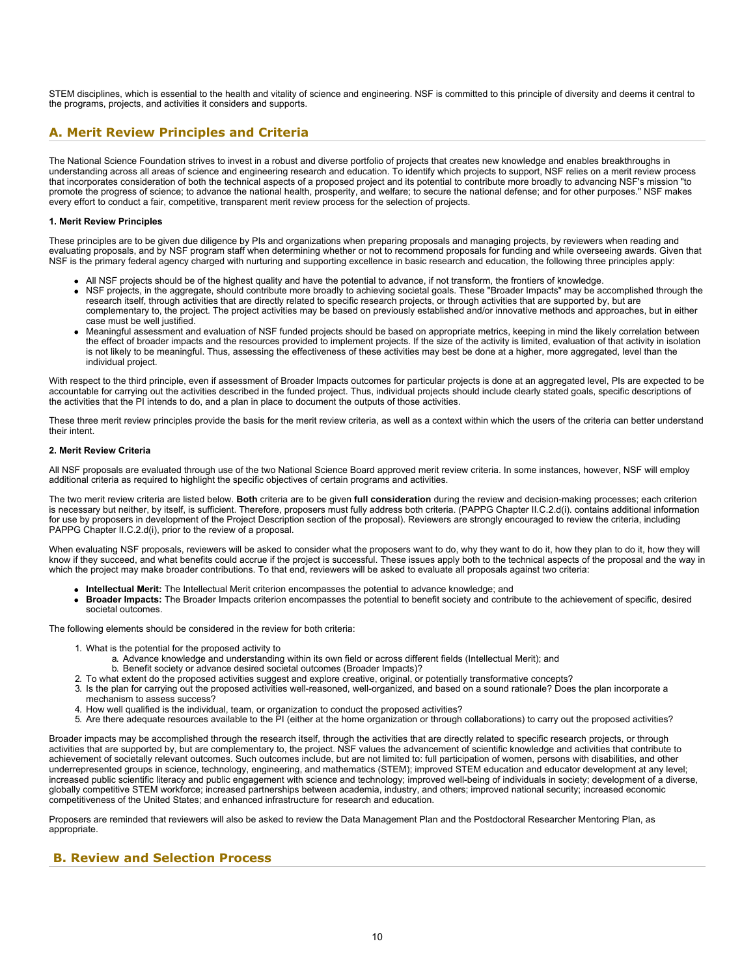STEM disciplines, which is essential to the health and vitality of science and engineering. NSF is committed to this principle of diversity and deems it central to the programs, projects, and activities it considers and supports.

# <span id="page-9-0"></span>**A. Merit Review Principles and Criteria**

The National Science Foundation strives to invest in a robust and diverse portfolio of projects that creates new knowledge and enables breakthroughs in understanding across all areas of science and engineering research and education. To identify which projects to support, NSF relies on a merit review process that incorporates consideration of both the technical aspects of a proposed project and its potential to contribute more broadly to advancing NSF's mission "to promote the progress of science; to advance the national health, prosperity, and welfare; to secure the national defense; and for other purposes." NSF makes every effort to conduct a fair, competitive, transparent merit review process for the selection of projects.

### **1. Merit Review Principles**

These principles are to be given due diligence by PIs and organizations when preparing proposals and managing projects, by reviewers when reading and evaluating proposals, and by NSF program staff when determining whether or not to recommend proposals for funding and while overseeing awards. Given that NSF is the primary federal agency charged with nurturing and supporting excellence in basic research and education, the following three principles apply:

- All NSF projects should be of the highest quality and have the potential to advance, if not transform, the frontiers of knowledge.
- NSF projects, in the aggregate, should contribute more broadly to achieving societal goals. These "Broader Impacts" may be accomplished through the research itself, through activities that are directly related to specific research projects, or through activities that are supported by, but are complementary to, the project. The project activities may be based on previously established and/or innovative methods and approaches, but in either case must be well justified.
- Meaningful assessment and evaluation of NSF funded projects should be based on appropriate metrics, keeping in mind the likely correlation between the effect of broader impacts and the resources provided to implement projects. If the size of the activity is limited, evaluation of that activity in isolation is not likely to be meaningful. Thus, assessing the effectiveness of these activities may best be done at a higher, more aggregated, level than the individual project.

With respect to the third principle, even if assessment of Broader Impacts outcomes for particular projects is done at an aggregated level, PIs are expected to be accountable for carrying out the activities described in the funded project. Thus, individual projects should include clearly stated goals, specific descriptions of the activities that the PI intends to do, and a plan in place to document the outputs of those activities.

These three merit review principles provide the basis for the merit review criteria, as well as a context within which the users of the criteria can better understand their intent.

### **2. Merit Review Criteria**

All NSF proposals are evaluated through use of the two National Science Board approved merit review criteria. In some instances, however, NSF will employ additional criteria as required to highlight the specific objectives of certain programs and activities.

The two merit review criteria are listed below. **Both** criteria are to be given **full consideration** during the review and decision-making processes; each criterion is necessary but neither, by itself, is sufficient. Therefore, proposers must fully address both criteria. (PAPPG Chapter II.C.2.d(i). contains additional information for use by proposers in development of the Project Description section of the proposal). Reviewers are strongly encouraged to review the criteria, including PAPPG Chapter II.C.2.d(i), prior to the review of a proposal.

When evaluating NSF proposals, reviewers will be asked to consider what the proposers want to do, why they want to do it, how they plan to do it, how they will know if they succeed, and what benefits could accrue if the project is successful. These issues apply both to the technical aspects of the proposal and the way in which the project may make broader contributions. To that end, reviewers will be asked to evaluate all proposals against two criteria:

- **Intellectual Merit:** The Intellectual Merit criterion encompasses the potential to advance knowledge; and
- **Broader Impacts:** The Broader Impacts criterion encompasses the potential to benefit society and contribute to the achievement of specific, desired societal outcomes.

The following elements should be considered in the review for both criteria:

- 1. What is the potential for the proposed activity to
	- a. Advance knowledge and understanding within its own field or across different fields (Intellectual Merit); and
	- b. Benefit society or advance desired societal outcomes (Broader Impacts)?
- 2. To what extent do the proposed activities suggest and explore creative, original, or potentially transformative concepts?
- 3. Is the plan for carrying out the proposed activities well-reasoned, well-organized, and based on a sound rationale? Does the plan incorporate a mechanism to assess success?
- 4. How well qualified is the individual, team, or organization to conduct the proposed activities?
- 5. Are there adequate resources available to the PI (either at the home organization or through collaborations) to carry out the proposed activities?

Broader impacts may be accomplished through the research itself, through the activities that are directly related to specific research projects, or through activities that are supported by, but are complementary to, the project. NSF values the advancement of scientific knowledge and activities that contribute to achievement of societally relevant outcomes. Such outcomes include, but are not limited to: full participation of women, persons with disabilities, and other underrepresented groups in science, technology, engineering, and mathematics (STEM); improved STEM education and educator development at any level; increased public scientific literacy and public engagement with science and technology; improved well-being of individuals in society; development of a diverse, globally competitive STEM workforce; increased partnerships between academia, industry, and others; improved national security; increased economic competitiveness of the United States; and enhanced infrastructure for research and education.

Proposers are reminded that reviewers will also be asked to review the Data Management Plan and the Postdoctoral Researcher Mentoring Plan, as appropriate.

# <span id="page-9-1"></span>**B. Review and Selection Process**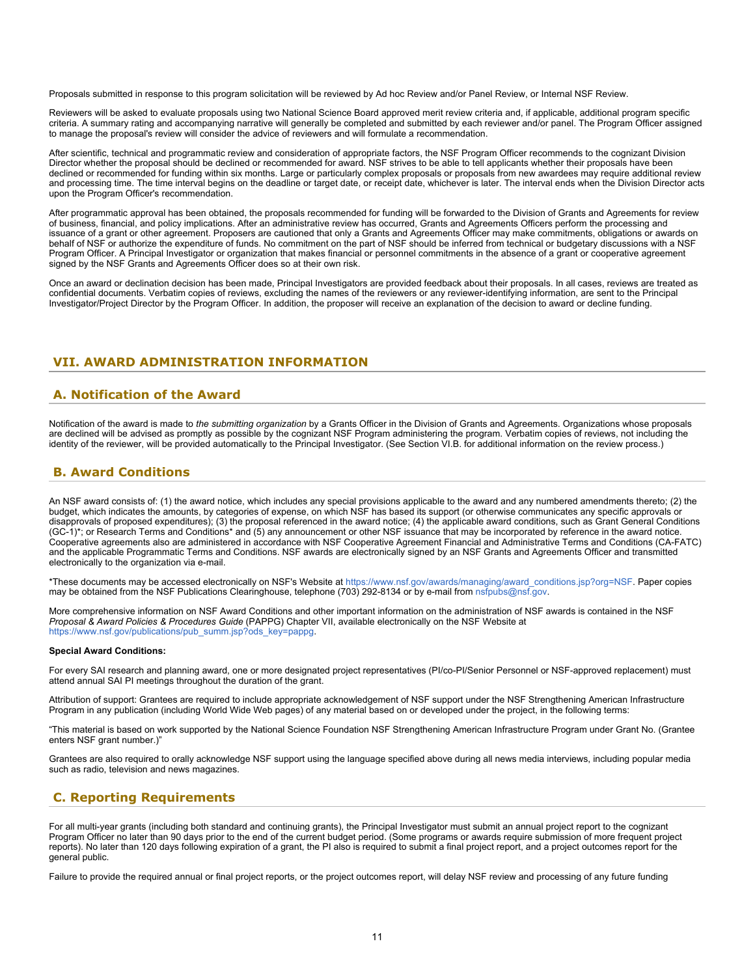Proposals submitted in response to this program solicitation will be reviewed by Ad hoc Review and/or Panel Review, or Internal NSF Review.

Reviewers will be asked to evaluate proposals using two National Science Board approved merit review criteria and, if applicable, additional program specific criteria. A summary rating and accompanying narrative will generally be completed and submitted by each reviewer and/or panel. The Program Officer assigned to manage the proposal's review will consider the advice of reviewers and will formulate a recommendation.

After scientific, technical and programmatic review and consideration of appropriate factors, the NSF Program Officer recommends to the cognizant Division Director whether the proposal should be declined or recommended for award. NSF strives to be able to tell applicants whether their proposals have been declined or recommended for funding within six months. Large or particularly complex proposals or proposals from new awardees may require additional review and processing time. The time interval begins on the deadline or target date, or receipt date, whichever is later. The interval ends when the Division Director acts upon the Program Officer's recommendation.

After programmatic approval has been obtained, the proposals recommended for funding will be forwarded to the Division of Grants and Agreements for review of business, financial, and policy implications. After an administrative review has occurred, Grants and Agreements Officers perform the processing and issuance of a grant or other agreement. Proposers are cautioned that only a Grants and Agreements Officer may make commitments, obligations or awards on behalf of NSF or authorize the expenditure of funds. No commitment on the part of NSF should be inferred from technical or budgetary discussions with a NSF Program Officer. A Principal Investigator or organization that makes financial or personnel commitments in the absence of a grant or cooperative agreement signed by the NSF Grants and Agreements Officer does so at their own risk.

Once an award or declination decision has been made, Principal Investigators are provided feedback about their proposals. In all cases, reviews are treated as confidential documents. Verbatim copies of reviews, excluding the names of the reviewers or any reviewer-identifying information, are sent to the Principal Investigator/Project Director by the Program Officer. In addition, the proposer will receive an explanation of the decision to award or decline funding.

# <span id="page-10-0"></span>**VII. AWARD ADMINISTRATION INFORMATION**

### <span id="page-10-1"></span>**A. Notification of the Award**

Notification of the award is made to *the submitting organization* by a Grants Officer in the Division of Grants and Agreements. Organizations whose proposals are declined will be advised as promptly as possible by the cognizant NSF Program administering the program. Verbatim copies of reviews, not including the identity of the reviewer, will be provided automatically to the Principal Investigator. (See Section VI.B. for additional information on the review process.)

### <span id="page-10-2"></span>**B. Award Conditions**

An NSF award consists of: (1) the award notice, which includes any special provisions applicable to the award and any numbered amendments thereto; (2) the budget, which indicates the amounts, by categories of expense, on which NSF has based its support (or otherwise communicates any specific approvals or disapprovals of proposed expenditures); (3) the proposal referenced in the award notice; (4) the applicable award conditions, such as Grant General Conditions (GC-1)\*; or Research Terms and Conditions\* and (5) any announcement or other NSF issuance that may be incorporated by reference in the award notice. Cooperative agreements also are administered in accordance with NSF Cooperative Agreement Financial and Administrative Terms and Conditions (CA-FATC) and the applicable Programmatic Terms and Conditions. NSF awards are electronically signed by an NSF Grants and Agreements Officer and transmitted electronically to the organization via e-mail.

\*These documents may be accessed electronically on NSF's Website at [https://www.nsf.gov/awards/managing/award\\_conditions.jsp?org=NSF](https://www.nsf.gov/awards/managing/award_conditions.jsp?org=NSF). Paper copies may be obtained from the NSF Publications Clearinghouse, telephone (703) 292-8134 or by e-mail from [nsfpubs@nsf.gov.](mailto:nsfpubs@nsf.gov)

More comprehensive information on NSF Award Conditions and other important information on the administration of NSF awards is contained in the NSF *Proposal & Award Policies & Procedures Guide* (PAPPG) Chapter VII, available electronically on the NSF Website at [https://www.nsf.gov/publications/pub\\_summ.jsp?ods\\_key=pappg.](https://www.nsf.gov/publications/pub_summ.jsp?ods_key=pappg)

### **Special Award Conditions:**

For every SAI research and planning award, one or more designated project representatives (PI/co-PI/Senior Personnel or NSF-approved replacement) must attend annual SAI PI meetings throughout the duration of the grant.

Attribution of support: Grantees are required to include appropriate acknowledgement of NSF support under the NSF Strengthening American Infrastructure Program in any publication (including World Wide Web pages) of any material based on or developed under the project, in the following terms:

"This material is based on work supported by the National Science Foundation NSF Strengthening American Infrastructure Program under Grant No. (Grantee enters NSF grant number.)"

Grantees are also required to orally acknowledge NSF support using the language specified above during all news media interviews, including popular media such as radio, television and news magazines.

### <span id="page-10-3"></span>**C. Reporting Requirements**

For all multi-year grants (including both standard and continuing grants), the Principal Investigator must submit an annual project report to the cognizant Program Officer no later than 90 days prior to the end of the current budget period. (Some programs or awards require submission of more frequent project reports). No later than 120 days following expiration of a grant, the PI also is required to submit a final project report, and a project outcomes report for the general public.

Failure to provide the required annual or final project reports, or the project outcomes report, will delay NSF review and processing of any future funding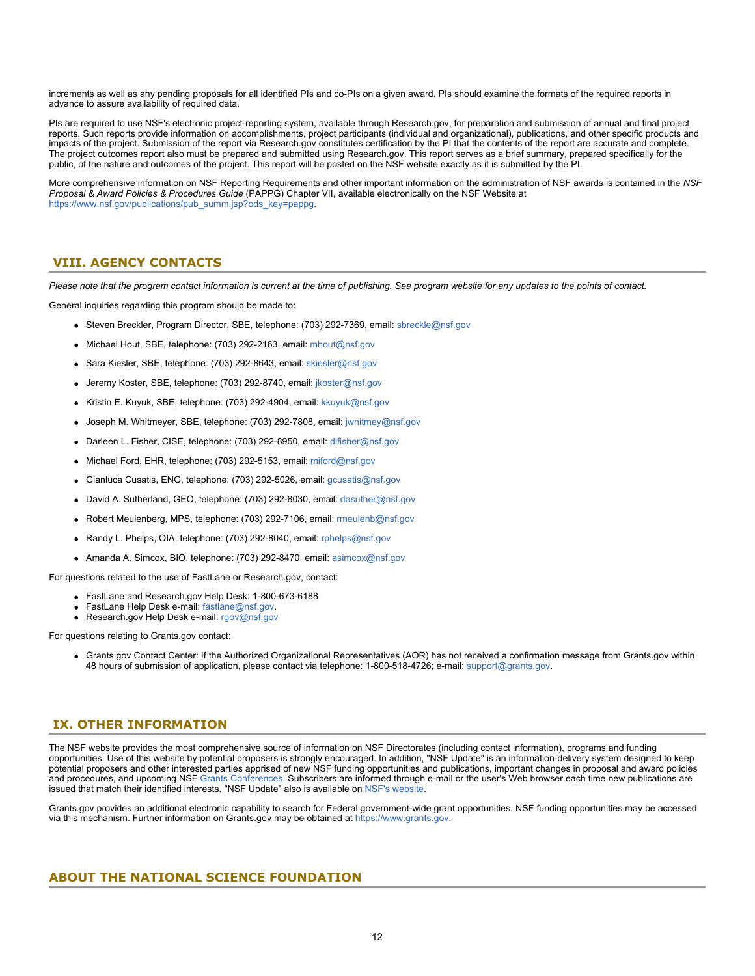increments as well as any pending proposals for all identified PIs and co-PIs on a given award. PIs should examine the formats of the required reports in advance to assure availability of required data.

PIs are required to use NSF's electronic project-reporting system, available through Research.gov, for preparation and submission of annual and final project reports. Such reports provide information on accomplishments, project participants (individual and organizational), publications, and other specific products and impacts of the project. Submission of the report via Research.gov constitutes certification by the PI that the contents of the report are accurate and complete. The project outcomes report also must be prepared and submitted using Research.gov. This report serves as a brief summary, prepared specifically for the public, of the nature and outcomes of the project. This report will be posted on the NSF website exactly as it is submitted by the PI.

More comprehensive information on NSF Reporting Requirements and other important information on the administration of NSF awards is contained in the *NSF Proposal & Award Policies & Procedures Guide* (PAPPG) Chapter VII, available electronically on the NSF Website at [https://www.nsf.gov/publications/pub\\_summ.jsp?ods\\_key=pappg.](https://www.nsf.gov/publications/pub_summ.jsp?ods_key=pappg)

# <span id="page-11-0"></span>**VIII. AGENCY CONTACTS**

*Please note that the program contact information is current at the time of publishing. See program website for any updates to the points of contact.*

General inquiries regarding this program should be made to:

- Steven Breckler, Program Director, SBE, telephone: (703) 292-7369, email: [sbreckle@nsf.gov](mailto:sbreckle@nsf.gov)
- Michael Hout, SBE, telephone: (703) 292-2163, email: [mhout@nsf.gov](mailto:mhout@nsf.gov)
- Sara Kiesler, SBE, telephone: (703) 292-8643, email: [skiesler@nsf.gov](mailto:skiesler@nsf.gov)
- Jeremy Koster, SBE, telephone: (703) 292-8740, email: [jkoster@nsf.gov](mailto:jkoster@nsf.gov)
- Kristin E. Kuyuk, SBE, telephone: (703) 292-4904, email: [kkuyuk@nsf.gov](mailto:kkuyuk@nsf.gov)
- Joseph M. Whitmeyer, SBE, telephone: (703) 292-7808, email: [jwhitmey@nsf.gov](mailto:jwhitmey@nsf.gov)
- Darleen L. Fisher, CISE, telephone: (703) 292-8950, email: [dlfisher@nsf.gov](mailto:dlfisher@nsf.gov)
- Michael Ford, EHR, telephone: (703) 292-5153, email: [miford@nsf.gov](mailto:miford@nsf.gov)
- Gianluca Cusatis, ENG, telephone: (703) 292-5026, email: [gcusatis@nsf.gov](mailto:gcusatis@nsf.gov)
- David A. Sutherland, GEO, telephone: (703) 292-8030, email: [dasuther@nsf.gov](mailto:dasuther@nsf.gov)
- Robert Meulenberg, MPS, telephone: (703) 292-7106, email: [rmeulenb@nsf.gov](mailto:rmeulenb@nsf.gov)
- Randy L. Phelps, OIA, telephone: (703) 292-8040, email: [rphelps@nsf.gov](mailto:rphelps@nsf.gov)
- Amanda A. Simcox, BIO, telephone: (703) 292-8470, email: [asimcox@nsf.gov](mailto:asimcox@nsf.gov)

For questions related to the use of FastLane or Research.gov, contact:

- FastLane and Research.gov Help Desk: 1-800-673-6188
- FastLane Help Desk e-mail: [fastlane@nsf.gov](mailto:fastlane@nsf.gov).
- Research.gov Help Desk e-mail: [rgov@nsf.gov](mailto:rgov@nsf.gov)

For questions relating to Grants.gov contact:

Grants.gov Contact Center: If the Authorized Organizational Representatives (AOR) has not received a confirmation message from Grants.gov within 48 hours of submission of application, please contact via telephone: 1-800-518-4726; e-mail: [support@grants.gov](mailto:support@grants.gov).

### <span id="page-11-1"></span>**IX. OTHER INFORMATION**

The NSF website provides the most comprehensive source of information on NSF Directorates (including contact information), programs and funding opportunities. Use of this website by potential proposers is strongly encouraged. In addition, "NSF Update" is an information-delivery system designed to keep potential proposers and other interested parties apprised of new NSF funding opportunities and publications, important changes in proposal and award policies and procedures, and upcoming NSF [Grants Conferences](https://www.nsf.gov/bfa/dias/policy/outreach.jsp). Subscribers are informed through e-mail or the user's Web browser each time new publications are issued that match their identified interests. "NSF Update" also is available on [NSF's website](https://www.nsf.gov/cgi-bin/goodbye?https://public.govdelivery.com/accounts/USNSF/subscriber/new?topic_id=USNSF_179).

Grants.gov provides an additional electronic capability to search for Federal government-wide grant opportunities. NSF funding opportunities may be accessed via this mechanism. Further information on Grants.gov may be obtained at [https://www.grants.gov](https://www.grants.gov/).

# **ABOUT THE NATIONAL SCIENCE FOUNDATION**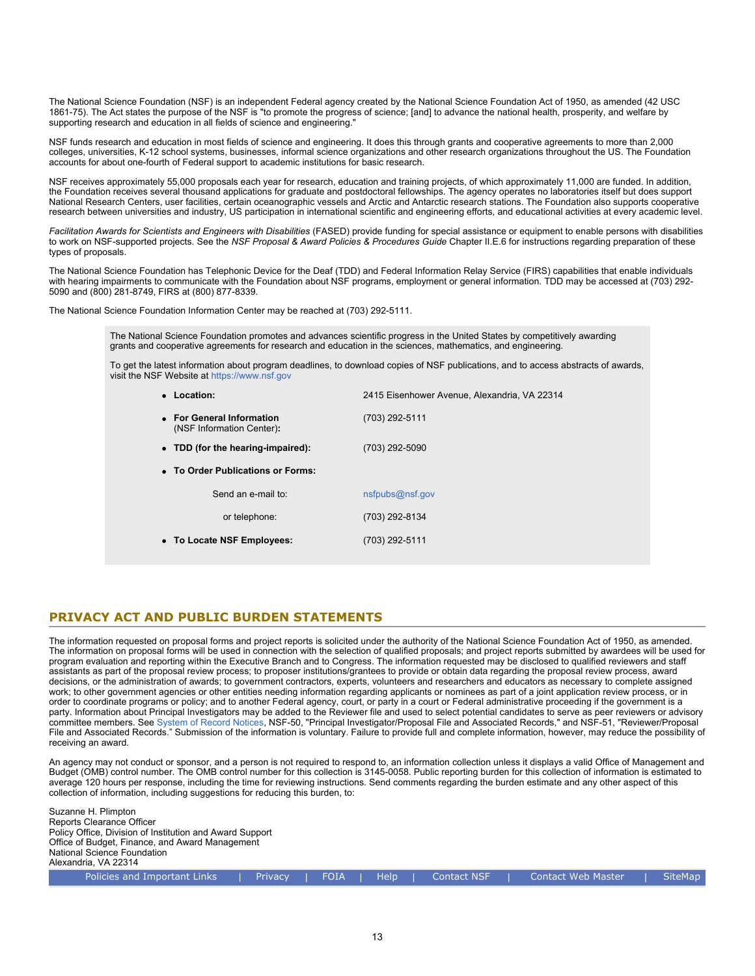The National Science Foundation (NSF) is an independent Federal agency created by the National Science Foundation Act of 1950, as amended (42 USC 1861-75). The Act states the purpose of the NSF is "to promote the progress of science; [and] to advance the national health, prosperity, and welfare by supporting research and education in all fields of science and engineering."

NSF funds research and education in most fields of science and engineering. It does this through grants and cooperative agreements to more than 2,000 colleges, universities, K-12 school systems, businesses, informal science organizations and other research organizations throughout the US. The Foundation accounts for about one-fourth of Federal support to academic institutions for basic research.

NSF receives approximately 55,000 proposals each year for research, education and training projects, of which approximately 11,000 are funded. In addition, the Foundation receives several thousand applications for graduate and postdoctoral fellowships. The agency operates no laboratories itself but does support National Research Centers, user facilities, certain oceanographic vessels and Arctic and Antarctic research stations. The Foundation also supports cooperative research between universities and industry, US participation in international scientific and engineering efforts, and educational activities at every academic level.

*Facilitation Awards for Scientists and Engineers with Disabilities* (FASED) provide funding for special assistance or equipment to enable persons with disabilities to work on NSF-supported projects. See the *NSF Proposal & Award Policies & Procedures Guide* Chapter II.E.6 for instructions regarding preparation of these types of proposals.

The National Science Foundation has Telephonic Device for the Deaf (TDD) and Federal Information Relay Service (FIRS) capabilities that enable individuals with hearing impairments to communicate with the Foundation about NSF programs, employment or general information. TDD may be accessed at (703) 292- 5090 and (800) 281-8749, FIRS at (800) 877-8339.

The National Science Foundation Information Center may be reached at (703) 292-5111.

The National Science Foundation promotes and advances scientific progress in the United States by competitively awarding grants and cooperative agreements for research and education in the sciences, mathematics, and engineering.

To get the latest information about program deadlines, to download copies of NSF publications, and to access abstracts of awards, visit the NSF Website at [https://www.nsf.gov](https://www.nsf.gov/)

| • Location:                                            | 2415 Eisenhower Avenue, Alexandria, VA 22314 |  |  |  |
|--------------------------------------------------------|----------------------------------------------|--|--|--|
| • For General Information<br>(NSF Information Center): | (703) 292-5111                               |  |  |  |
| • TDD (for the hearing-impaired):                      | (703) 292-5090                               |  |  |  |
| • To Order Publications or Forms:                      |                                              |  |  |  |
| Send an e-mail to:                                     | nsfpubs@nsf.gov                              |  |  |  |
| or telephone:                                          | (703) 292-8134                               |  |  |  |
| • To Locate NSF Employees:                             | (703) 292-5111                               |  |  |  |
|                                                        |                                              |  |  |  |

# **PRIVACY ACT AND PUBLIC BURDEN STATEMENTS**

The information requested on proposal forms and project reports is solicited under the authority of the National Science Foundation Act of 1950, as amended. The information on proposal forms will be used in connection with the selection of qualified proposals; and project reports submitted by awardees will be used for program evaluation and reporting within the Executive Branch and to Congress. The information requested may be disclosed to qualified reviewers and staff assistants as part of the proposal review process; to proposer institutions/grantees to provide or obtain data regarding the proposal review process, award decisions, or the administration of awards; to government contractors, experts, volunteers and researchers and educators as necessary to complete assigned work; to other government agencies or other entities needing information regarding applicants or nominees as part of a joint application review process, or in order to coordinate programs or policy; and to another Federal agency, court, or party in a court or Federal administrative proceeding if the government is a party. Information about Principal Investigators may be added to the Reviewer file and used to select potential candidates to serve as peer reviewers or advisory committee members. See [System of Record Notices](https://www.nsf.gov/privacy/), NSF-50, "Principal Investigator/Proposal File and Associated Records," and NSF-51, "Reviewer/Proposal File and Associated Records." Submission of the information is voluntary. Failure to provide full and complete information, however, may reduce the possibility of receiving an award.

An agency may not conduct or sponsor, and a person is not required to respond to, an information collection unless it displays a valid Office of Management and Budget (OMB) control number. The OMB control number for this collection is 3145-0058. Public reporting burden for this collection of information is estimated to average 120 hours per response, including the time for reviewing instructions. Send comments regarding the burden estimate and any other aspect of this collection of information, including suggestions for reducing this burden, to:

| Suzanne H. Plimpton                                      |         |             |      |  |                    |                    |  |                |  |
|----------------------------------------------------------|---------|-------------|------|--|--------------------|--------------------|--|----------------|--|
| Reports Clearance Officer                                |         |             |      |  |                    |                    |  |                |  |
| Policy Office, Division of Institution and Award Support |         |             |      |  |                    |                    |  |                |  |
| Office of Budget, Finance, and Award Management          |         |             |      |  |                    |                    |  |                |  |
| National Science Foundation                              |         |             |      |  |                    |                    |  |                |  |
| Alexandria, VA 22314                                     |         |             |      |  |                    |                    |  |                |  |
| Policies and Important Links                             | Privacy | <b>FOIA</b> | Help |  | <b>Contact NSF</b> | Contact Web Master |  | <b>SiteMap</b> |  |